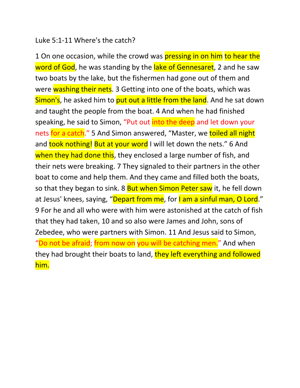#### Luke 5:1-11 Where's the catch?

1 On one occasion, while the crowd was **pressing in on him to hear the** word of God, he was standing by the lake of Gennesaret, 2 and he saw two boats by the lake, but the fishermen had gone out of them and were washing their nets. 3 Getting into one of the boats, which was Simon's, he asked him to put out a little from the land. And he sat down and taught the people from the boat. 4 And when he had finished speaking, he said to Simon, "Put out into the deep and let down your nets for a catch." 5 And Simon answered, "Master, we toiled all night and took nothing! But at your word I will let down the nets." 6 And when they had done this, they enclosed a large number of fish, and their nets were breaking. 7 They signaled to their partners in the other boat to come and help them. And they came and filled both the boats, so that they began to sink. 8 But when Simon Peter saw it, he fell down at Jesus' knees, saying, "Depart from me, for I am a sinful man, O Lord." 9 For he and all who were with him were astonished at the catch of fish that they had taken, 10 and so also were James and John, sons of Zebedee, who were partners with Simon. 11 And Jesus said to Simon, "Do not be afraid; from now on you will be catching men." And when they had brought their boats to land, they left everything and followed him.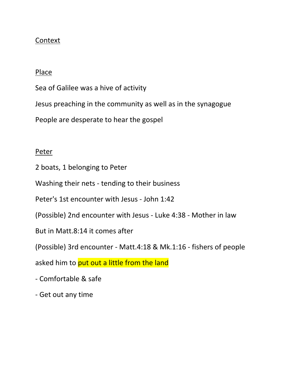### Context

#### Place

Sea of Galilee was a hive of activity

Jesus preaching in the community as well as in the synagogue

People are desperate to hear the gospel

#### Peter

- 2 boats, 1 belonging to Peter
- Washing their nets tending to their business
- Peter's 1st encounter with Jesus John 1:42
- (Possible) 2nd encounter with Jesus Luke 4:38 Mother in law
- But in Matt.8:14 it comes after
- (Possible) 3rd encounter Matt.4:18 & Mk.1:16 fishers of people

asked him to put out a little from the land

- Comfortable & safe
- Get out any time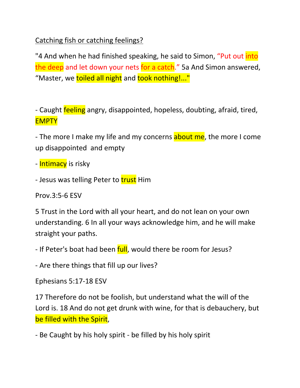Catching fish or catching feelings?

"4 And when he had finished speaking, he said to Simon, "Put out *into* the deep and let down your nets for a catch." 5a And Simon answered, "Master, we toiled all night and took nothing!..."

- Caught **feeling** angry, disappointed, hopeless, doubting, afraid, tired, **EMPTY** 

- The more I make my life and my concerns about me, the more I come up disappointed and empty

- **Intimacy** is risky

- Jesus was telling Peter to trust Him

Prov.3:5-6 ESV

5 Trust in the Lord with all your heart, and do not lean on your own understanding. 6 In all your ways acknowledge him, and he will make straight your paths.

- If Peter's boat had been full, would there be room for Jesus?

- Are there things that fill up our lives?

Ephesians 5:17-18 ESV

17 Therefore do not be foolish, but understand what the will of the Lord is. 18 And do not get drunk with wine, for that is debauchery, but be filled with the Spirit,

- Be Caught by his holy spirit - be filled by his holy spirit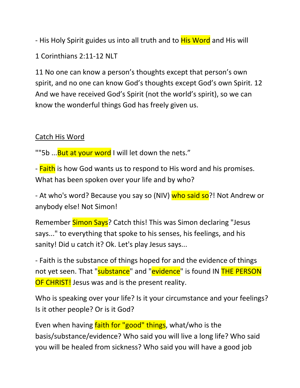- His Holy Spirit guides us into all truth and to **His Word** and His will

1 Corinthians 2:11-12 NLT

11 No one can know a person's thoughts except that person's own spirit, and no one can know God's thoughts except God's own Spirit. 12 And we have received God's Spirit (not the world's spirit), so we can know the wonderful things God has freely given us.

# Catch His Word

""5b ... But at your word I will let down the nets."

- Faith is how God wants us to respond to His word and his promises. What has been spoken over your life and by who?

- At who's word? Because you say so (NIV) who said so?! Not Andrew or anybody else! Not Simon!

Remember Simon Says? Catch this! This was Simon declaring "Jesus says..." to everything that spoke to his senses, his feelings, and his sanity! Did u catch it? Ok. Let's play Jesus says...

- Faith is the substance of things hoped for and the evidence of things not yet seen. That "substance" and "evidence" is found IN THE PERSON OF CHRIST! Jesus was and is the present reality.

Who is speaking over your life? Is it your circumstance and your feelings? Is it other people? Or is it God?

Even when having faith for "good" things, what/who is the basis/substance/evidence? Who said you will live a long life? Who said you will be healed from sickness? Who said you will have a good job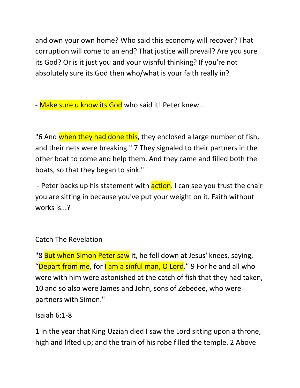and own your own home? Who said this economy will recover? That corruption will come to an end? That justice will prevail? Are you sure its God? Or is it just you and your wishful thinking? If you're not absolutely sure its God then who/what is your faith really in?

- Make sure u know its God who said it! Peter knew...

"6 And when they had done this, they enclosed a large number of fish, and their nets were breaking." 7 They signaled to their partners in the other boat to come and help them. And they came and filled both the boats, so that they began to sink."

- Peter backs up his statement with **action**. I can see you trust the chair you are sitting in because you've put your weight on it. Faith without works is...?

# Catch The Revelation

"8 But when Simon Peter saw it, he fell down at Jesus' knees, saying, "Depart from me, for I am a sinful man, O Lord." 9 For he and all who were with him were astonished at the catch of fish that they had taken, 10 and so also were James and John, sons of Zebedee, who were partners with Simon."

### Isaiah 6:1-8

1 In the year that King Uzziah died I saw the Lord sitting upon a throne, high and lifted up; and the train of his robe filled the temple. 2 Above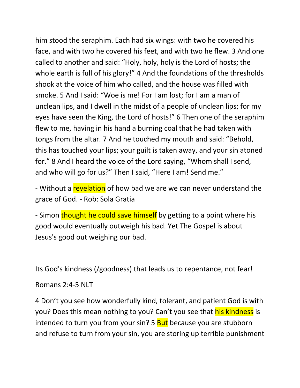him stood the seraphim. Each had six wings: with two he covered his face, and with two he covered his feet, and with two he flew. 3 And one called to another and said: "Holy, holy, holy is the Lord of hosts; the whole earth is full of his glory!" 4 And the foundations of the thresholds shook at the voice of him who called, and the house was filled with smoke. 5 And I said: "Woe is me! For I am lost; for I am a man of unclean lips, and I dwell in the midst of a people of unclean lips; for my eyes have seen the King, the Lord of hosts!" 6 Then one of the seraphim flew to me, having in his hand a burning coal that he had taken with tongs from the altar. 7 And he touched my mouth and said: "Behold, this has touched your lips; your guilt is taken away, and your sin atoned for." 8 And I heard the voice of the Lord saying, "Whom shall I send, and who will go for us?" Then I said, "Here I am! Send me."

- Without a revelation of how bad we are we can never understand the grace of God. - Rob: Sola Gratia

- Simon thought he could save himself by getting to a point where his good would eventually outweigh his bad. Yet The Gospel is about Jesus's good out weighing our bad.

Its God's kindness (/goodness) that leads us to repentance, not fear!

Romans 2:4-5 NLT

4 Don't you see how wonderfully kind, tolerant, and patient God is with you? Does this mean nothing to you? Can't you see that his kindness is intended to turn you from your sin? 5 **But** because you are stubborn and refuse to turn from your sin, you are storing up terrible punishment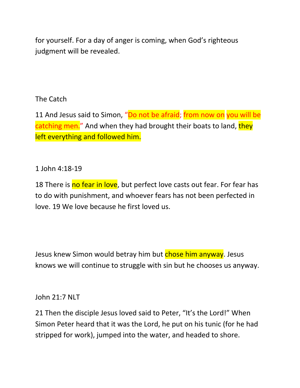for yourself. For a day of anger is coming, when God's righteous judgment will be revealed.

# The Catch

11 And Jesus said to Simon, "Do not be afraid; from now on you will be catching men." And when they had brought their boats to land, they left everything and followed him.

## 1 John 4:18-19

18 There is no fear in love, but perfect love casts out fear. For fear has to do with punishment, and whoever fears has not been perfected in love. 19 We love because he first loved us.

Jesus knew Simon would betray him but **chose him anyway**. Jesus knows we will continue to struggle with sin but he chooses us anyway.

### John 21:7 NLT

21 Then the disciple Jesus loved said to Peter, "It's the Lord!" When Simon Peter heard that it was the Lord, he put on his tunic (for he had stripped for work), jumped into the water, and headed to shore.